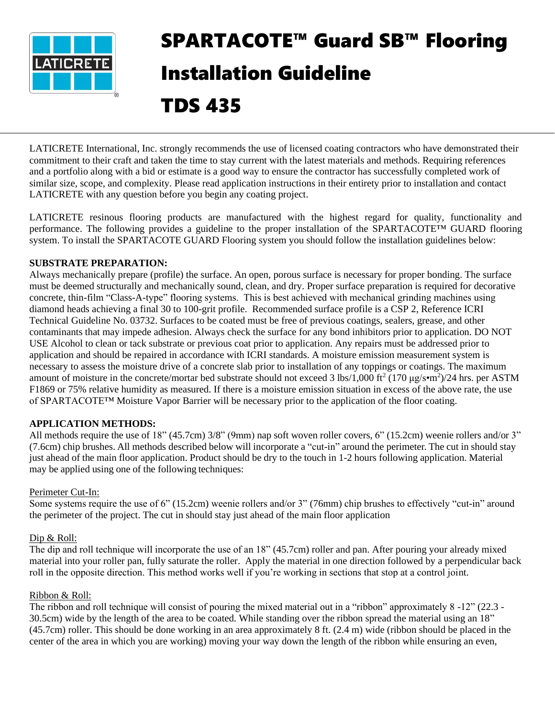

# SPARTACOTE™ Guard SB™ Flooring Installation Guideline

# TDS 435

LATICRETE International, Inc. strongly recommends the use of licensed coating contractors who have demonstrated their commitment to their craft and taken the time to stay current with the latest materials and methods. Requiring references and a portfolio along with a bid or estimate is a good way to ensure the contractor has successfully completed work of similar size, scope, and complexity. Please read application instructions in their entirety prior to installation and contact LATICRETE with any question before you begin any coating project.

LATICRETE resinous flooring products are manufactured with the highest regard for quality, functionality and performance. The following provides a guideline to the proper installation of the SPARTACOTE™ GUARD flooring system. To install the SPARTACOTE GUARD Flooring system you should follow the installation guidelines below:

# **SUBSTRATE PREPARATION:**

Always mechanically prepare (profile) the surface. An open, porous surface is necessary for proper bonding. The surface must be deemed structurally and mechanically sound, clean, and dry. Proper surface preparation is required for decorative concrete, thin-film "Class-A-type" flooring systems. This is best achieved with mechanical grinding machines using diamond heads achieving a final 30 to 100-grit profile. Recommended surface profile is a CSP 2, Reference ICRI Technical Guideline No. 03732. Surfaces to be coated must be free of previous coatings, sealers, grease, and other contaminants that may impede adhesion. Always check the surface for any bond inhibitors prior to application. DO NOT USE Alcohol to clean or tack substrate or previous coat prior to application. Any repairs must be addressed prior to application and should be repaired in accordance with ICRI standards. A moisture emission measurement system is necessary to assess the moisture drive of a concrete slab prior to installation of any toppings or coatings. The maximum amount of moisture in the concrete/mortar bed substrate should not exceed 3 lbs/1,000 ft<sup>2</sup> (170  $\mu$ g/s•m<sup>2</sup>)/24 hrs. per ASTM F1869 or 75% relative humidity as measured. If there is a moisture emission situation in excess of the above rate, the use of SPARTACOTE™ Moisture Vapor Barrier will be necessary prior to the application of the floor coating.

# **APPLICATION METHODS:**

All methods require the use of 18" (45.7cm) 3/8" (9mm) nap soft woven roller covers, 6" (15.2cm) weenie rollers and/or 3" (7.6cm) chip brushes. All methods described below will incorporate a "cut-in" around the perimeter. The cut in should stay just ahead of the main floor application. Product should be dry to the touch in 1-2 hours following application. Material may be applied using one of the following techniques:

#### Perimeter Cut-In:

Some systems require the use of 6" (15.2cm) weenie rollers and/or 3" (76mm) chip brushes to effectively "cut-in" around the perimeter of the project. The cut in should stay just ahead of the main floor application

# Dip & Roll:

The dip and roll technique will incorporate the use of an 18" (45.7cm) roller and pan. After pouring your already mixed material into your roller pan, fully saturate the roller. Apply the material in one direction followed by a perpendicular back roll in the opposite direction. This method works well if you're working in sections that stop at a control joint.

#### Ribbon & Roll:

The ribbon and roll technique will consist of pouring the mixed material out in a "ribbon" approximately 8 -12" (22.3 - 30.5cm) wide by the length of the area to be coated. While standing over the ribbon spread the material using an 18" (45.7cm) roller. This should be done working in an area approximately 8 ft. (2.4 m) wide (ribbon should be placed in the center of the area in which you are working) moving your way down the length of the ribbon while ensuring an even,